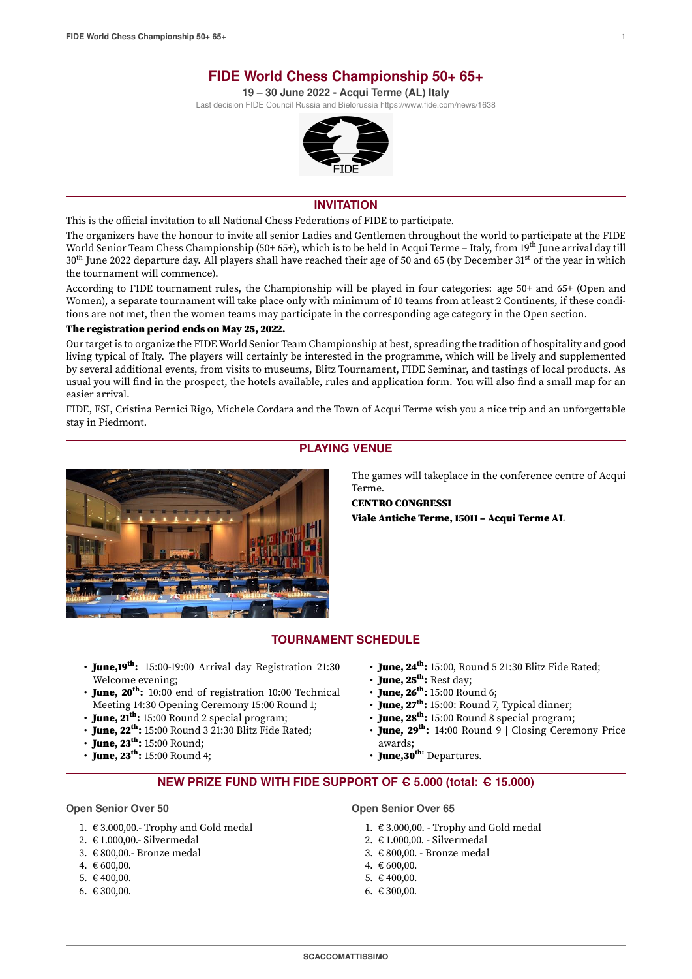**19 – 30 June 2022 - Acqui Terme (AL) Italy**

<span id="page-0-0"></span>Last decision FIDE Council Russia and Bielorussia [h](https://www.fide.com/news/1638)ttps://www.fide.com/news/1638



### **INVITATION**

This is the official invitation to all National Chess Federations of FIDE to participate.

The organizers have the honour to invite all senior Ladies and Gentlemen throughout the world to participate at the FIDE World Senior Team Chess Championship (50+ 65+), which is to be held in Acqui Terme – Italy, from 19th June arrival day till  $30<sup>th</sup>$  June 2022 departure day. All players shall have reached their age of 50 and 65 (by December  $31<sup>st</sup>$  of the year in which the tournament will commence).

According to FIDE tournament rules, the Championship will be played in four categories: age 50+ and 65+ (Open and Women), a separate tournament will take place only with minimum of 10 teams from at least 2 Continents, if these conditions are not met, then the women teams may participate in the corresponding age category in the Open section.

### The registration period ends on May 25, 2022.

Our target is to organize the FIDE World Senior Team Championship at best, spreading the tradition of hospitality and good living typical of Italy. The players will certainly be interested in the programme, which will be lively and supplemented by several additional events, from visits to museums, Blitz Tournament, FIDE Seminar, and tastings of local products. As usual you will find in the prospect, the hotels available, rules and application form. You will also find a small map for an easier arrival.

FIDE, FSI, Cristina Pernici Rigo, Michele Cordara and the Town of Acqui Terme wish you a nice trip and an unforgettable stay in Piedmont.



## **PLAYING VENUE**

The games will takeplace in the conference centre of Acqui Terme.

CENTRO CONGRESSI Viale Antiche Terme, 15011 – Acqui Terme AL

## **TOURNAMENT SCHEDULE**

- June,19<sup>th</sup>: 15:00-19:00 Arrival day Registration 21:30 Welcome evening;
- June, 20<sup>th</sup>: 10:00 end of registration 10:00 Technical Meeting 14:30 Opening Ceremony 15:00 Round 1;
- June,  $2I^{th}$ : 15:00 Round 2 special program;
- $\cdot$  June, 22<sup>th</sup>: 15:00 Round 3 21:30 Blitz Fide Rated;
- $\cdot$  June, 23<sup>th</sup>: 15:00 Round;
- June,  $23^{th}$ : 15:00 Round 4;
- $\cdot$  June, 24<sup>th</sup>: 15:00, Round 5 21:30 Blitz Fide Rated;
- $\cdot$  June, 25<sup>th</sup>: Rest day;
- $\cdot$  June, 26<sup>th</sup>: 15:00 Round 6;
- June,  $27<sup>th</sup>$ : 15:00: Round 7, Typical dinner;
- June, 28<sup>th</sup>: 15:00 Round 8 special program;
- June, 29<sup>th</sup>: 14:00 Round 9 | Closing Ceremony Price awards;
- $\cdot$  June, 30<sup>th:</sup> Departures.

### **NEW PRIZE FUND WITH FIDE SUPPORT OF C 5.000 (total: C 15.000)**

#### **Open Senior Over 50**

- 1. € 3.000,00.- Trophy and Gold medal
- 2. € 1.000,00.- Silvermedal
- 3. € 800,00.- Bronze medal
- 4. € 600,00.
- 5. € 400.00.
- 6. € 300,00.

**Open Senior Over 65**

- 1. € 3.000,00. Trophy and Gold medal
- 2. € 1.000,00. Silvermedal
- 3. € 800,00. Bronze medal
	- 4. € 600,00.
	- 5. € 400.00.
- 6. € 300,00.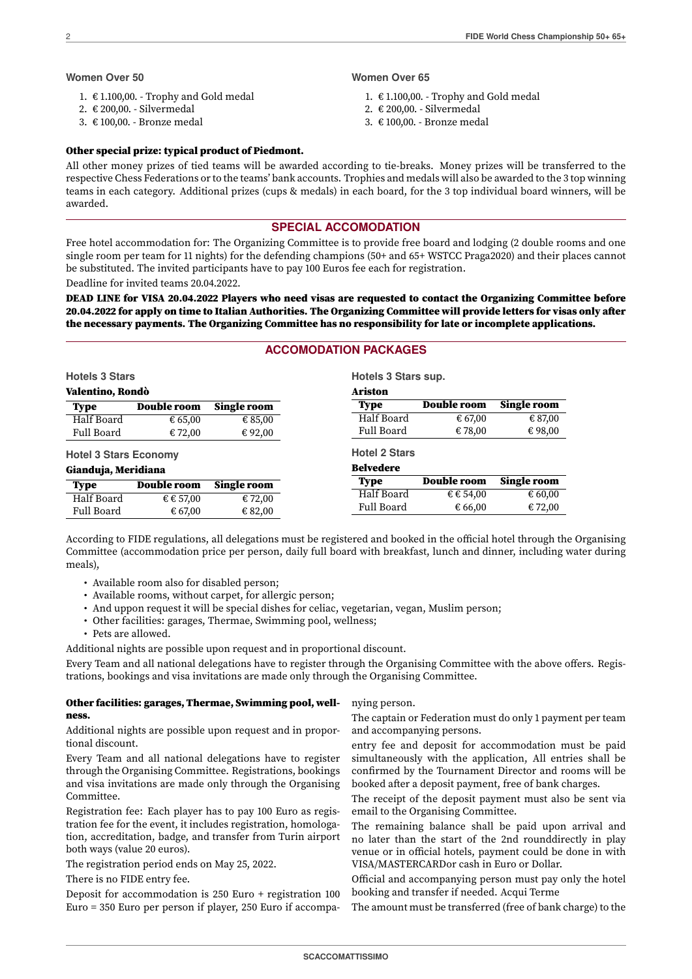#### **Women Over 50**

- 1. € 1.100,00. Trophy and Gold medal
- 2. € 200,00. Silvermedal
- 3. € 100,00. Bronze medal

#### **Women Over 65**

- 1. € 1.100,00. Trophy and Gold medal
- 2. € 200,00. Silvermedal
- 3. € 100,00. Bronze medal

### Other special prize: typical product of Piedmont.

All other money prizes of tied teams will be awarded according to tie-breaks. Money prizes will be transferred to the respective Chess Federations or to the teams' bank accounts. Trophies and medals will also be awarded to the 3 top winning teams in each category. Additional prizes (cups & medals) in each board, for the 3 top individual board winners, will be awarded.

### **SPECIAL ACCOMODATION**

Free hotel accommodation for: The Organizing Committee is to provide free board and lodging (2 double rooms and one single room per team for 11 nights) for the defending champions (50+ and 65+ WSTCC Praga2020) and their places cannot be substituted. The invited participants have to pay 100 Euros fee each for registration.

Deadline for invited teams 20.04.2022.

DEAD LINE for VISA 20.04.2022 Players who need visas are requested to contact the Organizing Committee before 20.04.2022 for apply on time to Italian Authorities. The Organizing Committee will provide letters for visas only after the necessary payments. The Organizing Committee has no responsibility for late or incomplete applications.

## **ACCOMODATION PACKAGES**

| <b>Hotels 3 Stars</b>        |                    |                    | Hotels 3 Stars sup.  |                    |                    |
|------------------------------|--------------------|--------------------|----------------------|--------------------|--------------------|
| Valentino, Rondò             |                    |                    | Ariston              |                    |                    |
| <b>Type</b>                  | <b>Double room</b> | <b>Single room</b> | <b>Type</b>          | <b>Double room</b> | <b>Single room</b> |
| Half Board                   | € 65,00            | € 85,00            | Half Board           | € 67,00            | € 87,00            |
| Full Board                   | € 72,00            | € 92,00            | Full Board           | € 78,00            | €98,00             |
| <b>Hotel 3 Stars Economy</b> |                    |                    | <b>Hotel 2 Stars</b> |                    |                    |
| Gianduja, Meridiana          |                    |                    | <b>Belvedere</b>     |                    |                    |
| <b>Type</b>                  | <b>Double room</b> | <b>Single room</b> | <b>Type</b>          | Double room        | <b>Single room</b> |
| Half Board                   | € € 57,00          | € 72,00            | Half Board           | € € 54,00          | € 60,00            |
| Full Board                   | € 67,00            | € 82,00            | Full Board           | € 66,00            | € 72,00            |

According to FIDE regulations, all delegations must be registered and booked in the official hotel through the Organising Committee (accommodation price per person, daily full board with breakfast, lunch and dinner, including water during meals),

- Available room also for disabled person;
- Available rooms, without carpet, for allergic person;
- And uppon request it will be special dishes for celiac, vegetarian, vegan, Muslim person;
- Other facilities: garages, Thermae, Swimming pool, wellness;
- Pets are allowed.

Additional nights are possible upon request and in proportional discount.

Every Team and all national delegations have to register through the Organising Committee with the above offers. Registrations, bookings and visa invitations are made only through the Organising Committee.

### Other facilities: garages, Thermae, Swimming pool, wellness.

Additional nights are possible upon request and in proportional discount.

Every Team and all national delegations have to register through the Organising Committee. Registrations, bookings and visa invitations are made only through the Organising Committee.

Registration fee: Each player has to pay 100 Euro as registration fee for the event, it includes registration, homologation, accreditation, badge, and transfer from Turin airport both ways (value 20 euros).

The registration period ends on May 25, 2022.

There is no FIDE entry fee.

Deposit for accommodation is 250 Euro + registration 100 Euro = 350 Euro per person if player, 250 Euro if accompanying person.

The captain or Federation must do only 1 payment per team and accompanying persons.

entry fee and deposit for accommodation must be paid simultaneously with the application, All entries shall be confirmed by the Tournament Director and rooms will be booked after a deposit payment, free of bank charges.

The receipt of the deposit payment must also be sent via email to the Organising Committee.

The remaining balance shall be paid upon arrival and no later than the start of the 2nd rounddirectly in play venue or in official hotels, payment could be done in with VISA/MASTERCARDor cash in Euro or Dollar.

Official and accompanying person must pay only the hotel booking and transfer if needed. Acqui Terme

The amount must be transferred (free of bank charge) to the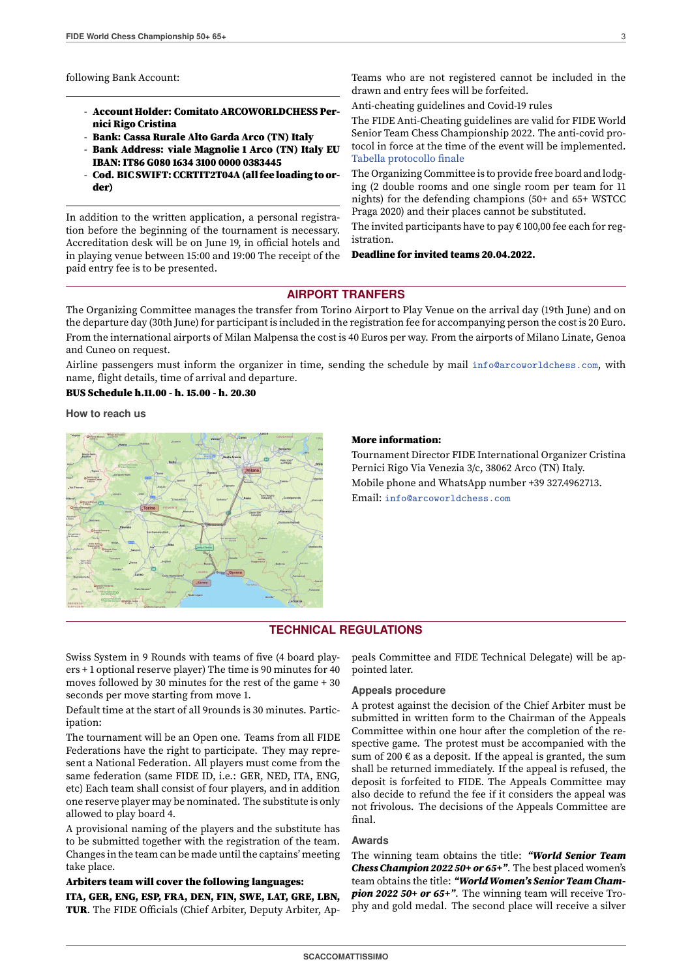following Bank Account:

- Account Holder: Comitato ARCOWORLDCHESS Pernici Rigo Cristina
- Bank: Cassa Rurale Alto Garda Arco (TN) Italy
- Bank Address: viale Magnolie 1 Arco (TN) Italy EU IBAN: IT86 G080 1634 3100 0000 0383445
- Cod. BIC SWIFT: CCRTIT2T04A (all fee loading to order)

In addition to the written application, a personal registration before the beginning of the tournament is necessary. Accreditation desk will be on June 19, in official hotels and in playing venue between 15:00 and 19:00 The receipt of the paid entry fee is to be presented.

Teams who are not registered cannot be included in the drawn and entry fees will be forfeited.

Anti-cheating guidelines and Covid-19 rules

The FIDE Anti-Cheating guidelines are valid for FIDE World Senior Team Chess Championship 2022. The anti-covid protocol in force at the time of the event will be implemented. [Tabella protocollo finale](http://www.federscacchi.it/doc/notcom/d20211221080405_tabella_protocollo_finale.docx)

The Organizing Committee is to provide free board and lodging (2 double rooms and one single room per team for 11 nights) for the defending champions (50+ and 65+ WSTCC Praga 2020) and their places cannot be substituted.

The invited participants have to pay  $\epsilon$  100,00 fee each for registration.

Deadline for invited teams 20.04.2022.

### **AIRPORT TRANFERS**

The Organizing Committee manages the transfer from Torino Airport to Play Venue on the arrival day (19th June) and on the departure day (30th June) for participant is included in the registration fee for accompanying person the cost is 20 Euro. From the international airports of Milan Malpensa the cost is 40 Euros per way. From the airports of Milano Linate, Genoa and Cuneo on request.

Airline passengers must inform the organizer in time, sending the schedule by mail [info@arcoworldchess.com](mailto:info@arcoworldchess.com), with name, flight details, time of arrival and departure.

BUS Schedule h.11.00 - h. 15.00 - h. 20.30

**How to reach us**



#### More information:

Tournament Director FIDE International Organizer Cristina Pernici Rigo Via Venezia 3/c, 38062 Arco (TN) Italy. Mobile phone and WhatsApp number +39 327.4962713. Email: [info@arcoworldchess.com](mailto:info@arcoworldchess.com)

## **TECHNICAL REGULATIONS**

Swiss System in 9 Rounds with teams of five (4 board players + 1 optional reserve player) The time is 90 minutes for 40 moves followed by 30 minutes for the rest of the game + 30 seconds per move starting from move 1.

Default time at the start of all 9rounds is 30 minutes. Participation:

The tournament will be an Open one. Teams from all FIDE Federations have the right to participate. They may represent a National Federation. All players must come from the same federation (same FIDE ID, i.e.: GER, NED, ITA, ENG, etc) Each team shall consist of four players, and in addition one reserve player may be nominated. The substitute is only allowed to play board 4.

A provisional naming of the players and the substitute has to be submitted together with the registration of the team. Changes in the team can be made until the captains' meeting take place.

#### Arbiters team will cover the following languages:

ITA, GER, ENG, ESP, FRA, DEN, FIN, SWE, LAT, GRE, LBN, TUR. The FIDE Officials (Chief Arbiter, Deputy Arbiter, Ap-

peals Committee and FIDE Technical Delegate) will be appointed later.

#### **Appeals procedure**

A protest against the decision of the Chief Arbiter must be submitted in written form to the Chairman of the Appeals Committee within one hour after the completion of the respective game. The protest must be accompanied with the sum of 200  $\epsilon$  as a deposit. If the appeal is granted, the sum shall be returned immediately. If the appeal is refused, the deposit is forfeited to FIDE. The Appeals Committee may also decide to refund the fee if it considers the appeal was not frivolous. The decisions of the Appeals Committee are final.

### **Awards**

The winning team obtains the title: "World Senior Team Chess Champion 2022 50+ or 65+". The best placed women's team obtains the title: "World Women's Senior Team Champion 2022 50+ or 65+". The winning team will receive Trophy and gold medal. The second place will receive a silver